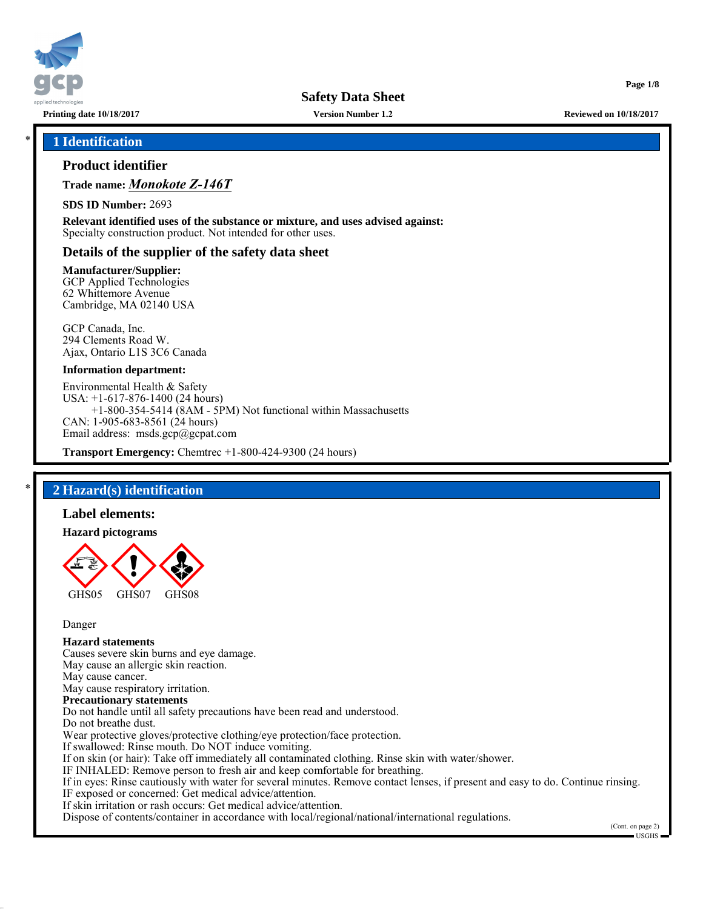

**Version Number 1.2**

**Printing date 10/18/2017 Reviewed on 10/18/2017**

**Page 1/8**

## \* **1 Identification**

## **Product identifier**

**Trade name:** *Monokote Z-146T*

**SDS ID Number:** 2693

**Relevant identified uses of the substance or mixture, and uses advised against:** Specialty construction product. Not intended for other uses.

## **Details of the supplier of the safety data sheet**

#### **Manufacturer/Supplier:**

GCP Applied Technologies 62 Whittemore Avenue Cambridge, MA 02140 USA

GCP Canada, Inc. 294 Clements Road W. Ajax, Ontario L1S 3C6 Canada

#### **Information department:**

Environmental Health & Safety USA: +1-617-876-1400 (24 hours) +1-800-354-5414 (8AM - 5PM) Not functional within Massachusetts CAN: 1-905-683-8561 (24 hours) Email address: msds.gcp@gcpat.com

**Transport Emergency:** Chemtrec +1-800-424-9300 (24 hours)

## \* **2 Hazard(s) identification**

#### **Label elements:**

#### **Hazard pictograms**



Danger

# **Hazard statements**

Causes severe skin burns and eye damage. May cause an allergic skin reaction. May cause cancer. May cause respiratory irritation. **Precautionary statements** Do not handle until all safety precautions have been read and understood. Do not breathe dust. Wear protective gloves/protective clothing/eye protection/face protection. If swallowed: Rinse mouth. Do NOT induce vomiting. If on skin (or hair): Take off immediately all contaminated clothing. Rinse skin with water/shower. IF INHALED: Remove person to fresh air and keep comfortable for breathing. If in eyes: Rinse cautiously with water for several minutes. Remove contact lenses, if present and easy to do. Continue rinsing. IF exposed or concerned: Get medical advice/attention. If skin irritation or rash occurs: Get medical advice/attention.

Dispose of contents/container in accordance with local/regional/national/international regulations.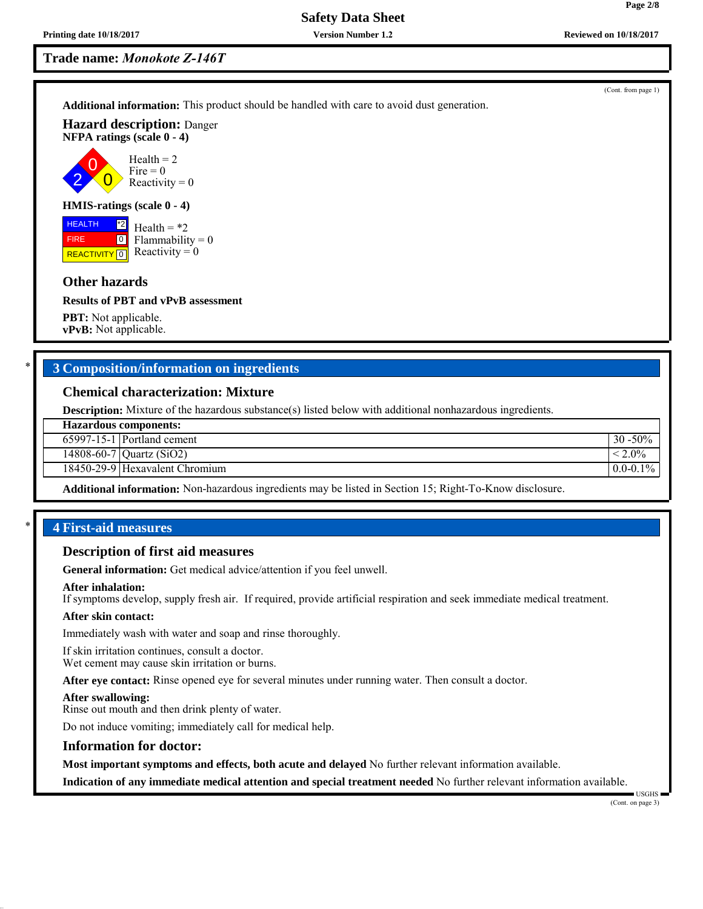2 0

FIRE

**Safety Data Sheet**

**Version Number 1.2**

**Trade name:** *Monokote Z-146T*

**Additional information:** This product should be handled with care to avoid dust generation.

**Hazard description:** Danger **NFPA ratings (scale 0 - 4)**

> $\overline{0}$ Health  $= 2$  $Fire = 0$ Reactivity  $= 0$

## **HMIS-ratings (scale 0 - 4)**

**HEALTH REACTIVITY** 0 \*2  $\boxed{0}$ Health  $=$  \*2  $Flammability = 0$ Reactivity  $= 0$ 

## **Other hazards**

#### **Results of PBT and vPvB assessment**

**PBT:** Not applicable. **vPvB:** Not applicable.

## \* **3 Composition/information on ingredients**

## **Chemical characterization: Mixture**

**Description:** Mixture of the hazardous substance(s) listed below with additional nonhazardous ingredients.

|  | <b>Hazardous components:</b> |
|--|------------------------------|
|--|------------------------------|

| $30 - 50\%$<br>$65997-15-1$ Portland cement |  |
|---------------------------------------------|--|
|                                             |  |

14808-60-7 | Quartz (SiO2)  $\sim$  2.0%

18450-29-9 Hexavalent Chromium 0.0-0.1% and 0.0-0.1%

**Additional information:** Non-hazardous ingredients may be listed in Section 15; Right-To-Know disclosure.

## \* **4 First-aid measures**

#### **Description of first aid measures**

**General information:** Get medical advice/attention if you feel unwell.

#### **After inhalation:**

If symptoms develop, supply fresh air. If required, provide artificial respiration and seek immediate medical treatment.

#### **After skin contact:**

Immediately wash with water and soap and rinse thoroughly.

If skin irritation continues, consult a doctor. Wet cement may cause skin irritation or burns.

**After eye contact:** Rinse opened eye for several minutes under running water. Then consult a doctor.

#### **After swallowing:**

Rinse out mouth and then drink plenty of water.

Do not induce vomiting; immediately call for medical help.

#### **Information for doctor:**

**Most important symptoms and effects, both acute and delayed** No further relevant information available.

**Indication of any immediate medical attention and special treatment needed** No further relevant information available.

**Page 2/8**

(Cont. from page 1)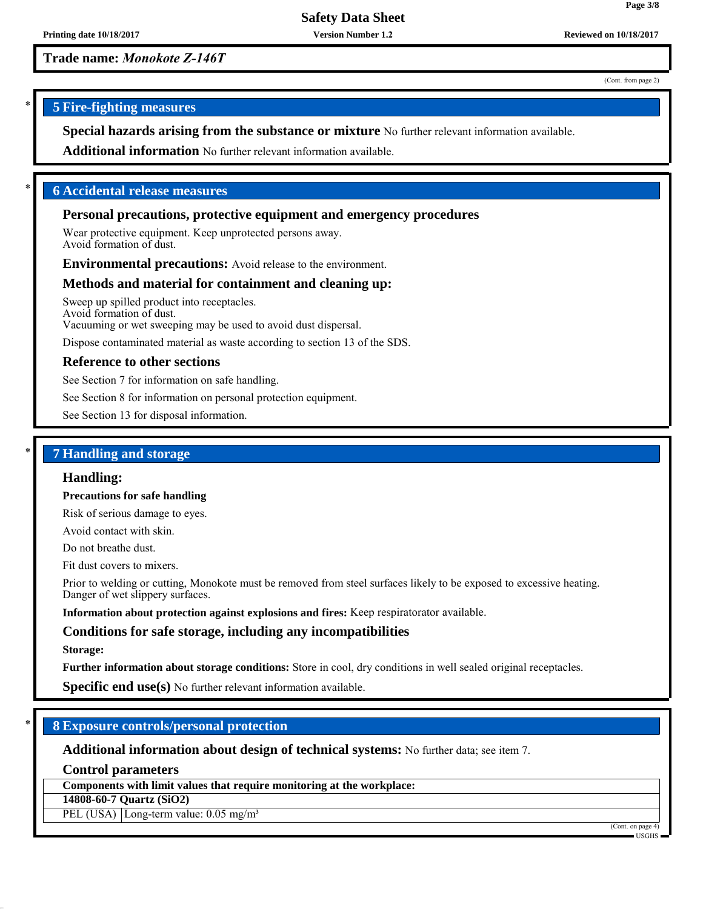**Version Number 1.2**

**Trade name:** *Monokote Z-146T*

(Cont. from page 2)

**Page 3/8**

## \* **5 Fire-fighting measures**

**Special hazards arising from the substance or mixture** No further relevant information available.

**Additional information** No further relevant information available.

## \* **6 Accidental release measures**

## **Personal precautions, protective equipment and emergency procedures**

Wear protective equipment. Keep unprotected persons away. Avoid formation of dust.

**Environmental precautions:** Avoid release to the environment.

### **Methods and material for containment and cleaning up:**

Sweep up spilled product into receptacles. Avoid formation of dust. Vacuuming or wet sweeping may be used to avoid dust dispersal.

Dispose contaminated material as waste according to section 13 of the SDS.

## **Reference to other sections**

See Section 7 for information on safe handling.

See Section 8 for information on personal protection equipment.

See Section 13 for disposal information.

## \* **7 Handling and storage**

#### **Handling:**

**Precautions for safe handling**

Risk of serious damage to eyes.

Avoid contact with skin.

Do not breathe dust.

Fit dust covers to mixers.

Prior to welding or cutting, Monokote must be removed from steel surfaces likely to be exposed to excessive heating. Danger of wet slippery surfaces.

**Information about protection against explosions and fires:** Keep respiratorator available.

## **Conditions for safe storage, including any incompatibilities**

#### **Storage:**

**Further information about storage conditions:** Store in cool, dry conditions in well sealed original receptacles.

**Specific end use(s)** No further relevant information available.

## \* **8 Exposure controls/personal protection**

**Additional information about design of technical systems:** No further data; see item 7.

**Control parameters**

**Components with limit values that require monitoring at the workplace:**

**14808-60-7 Quartz (SiO2)**

PEL (USA) Long-term value: 0.05 mg/m<sup>3</sup>

(Cont. on page 4)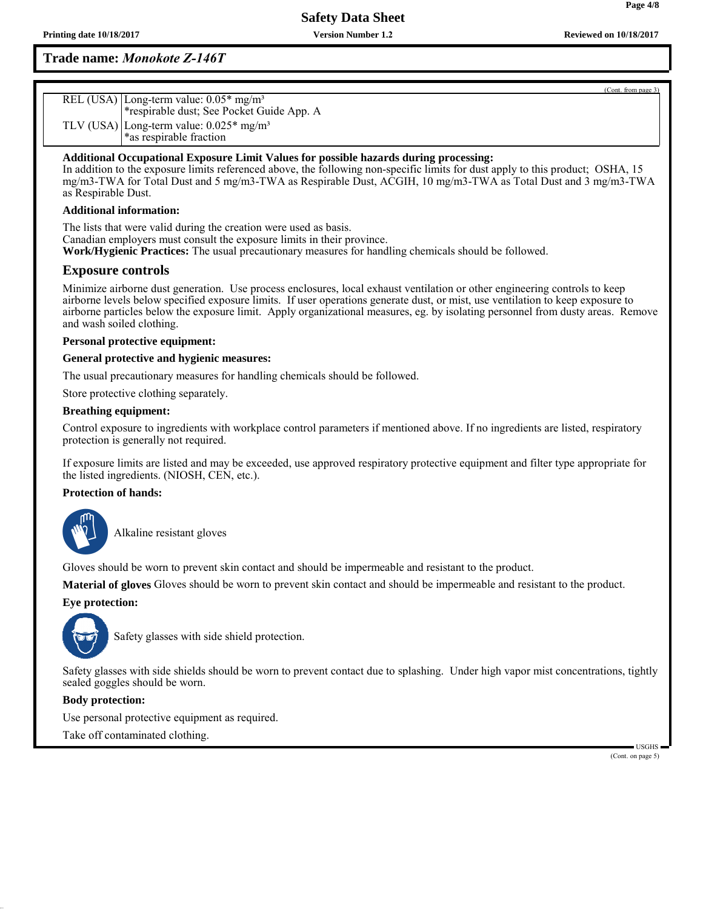**Version Number 1.2**

# **Trade name:** *Monokote Z-146T*

| REL (USA) Long-term value: 0.05* mg/m <sup>3</sup>    |
|-------------------------------------------------------|
| *respirable dust; See Pocket Guide App. A             |
| TLV (USA) Long-term value: $0.025*$ mg/m <sup>3</sup> |
| *as respirable fraction                               |

## **Additional Occupational Exposure Limit Values for possible hazards during processing:**

In addition to the exposure limits referenced above, the following non-specific limits for dust apply to this product; OSHA, 15 mg/m3-TWA for Total Dust and 5 mg/m3-TWA as Respirable Dust, ACGIH, 10 mg/m3-TWA as Total Dust and 3 mg/m3-TWA as Respirable Dust.

#### **Additional information:**

The lists that were valid during the creation were used as basis. Canadian employers must consult the exposure limits in their province. **Work/Hygienic Practices:** The usual precautionary measures for handling chemicals should be followed.

## **Exposure controls**

Minimize airborne dust generation. Use process enclosures, local exhaust ventilation or other engineering controls to keep airborne levels below specified exposure limits. If user operations generate dust, or mist, use ventilation to keep exposure to airborne particles below the exposure limit. Apply organizational measures, eg. by isolating personnel from dusty areas. Remove and wash soiled clothing.

#### **Personal protective equipment:**

#### **General protective and hygienic measures:**

The usual precautionary measures for handling chemicals should be followed.

Store protective clothing separately.

#### **Breathing equipment:**

Control exposure to ingredients with workplace control parameters if mentioned above. If no ingredients are listed, respiratory protection is generally not required.

If exposure limits are listed and may be exceeded, use approved respiratory protective equipment and filter type appropriate for the listed ingredients. (NIOSH, CEN, etc.).

#### **Protection of hands:**



\_SAlkaline resistant gloves

Gloves should be worn to prevent skin contact and should be impermeable and resistant to the product.

**Material of gloves** Gloves should be worn to prevent skin contact and should be impermeable and resistant to the product.

## **Eye protection:**



Safety glasses with side shield protection.

Safety glasses with side shields should be worn to prevent contact due to splashing. Under high vapor mist concentrations, tightly sealed goggles should be worn.

#### **Body protection:**

Use personal protective equipment as required. Take off contaminated clothing.

> USGHS (Cont. on page 5)

(Cont. from page 3)

**Page 4/8**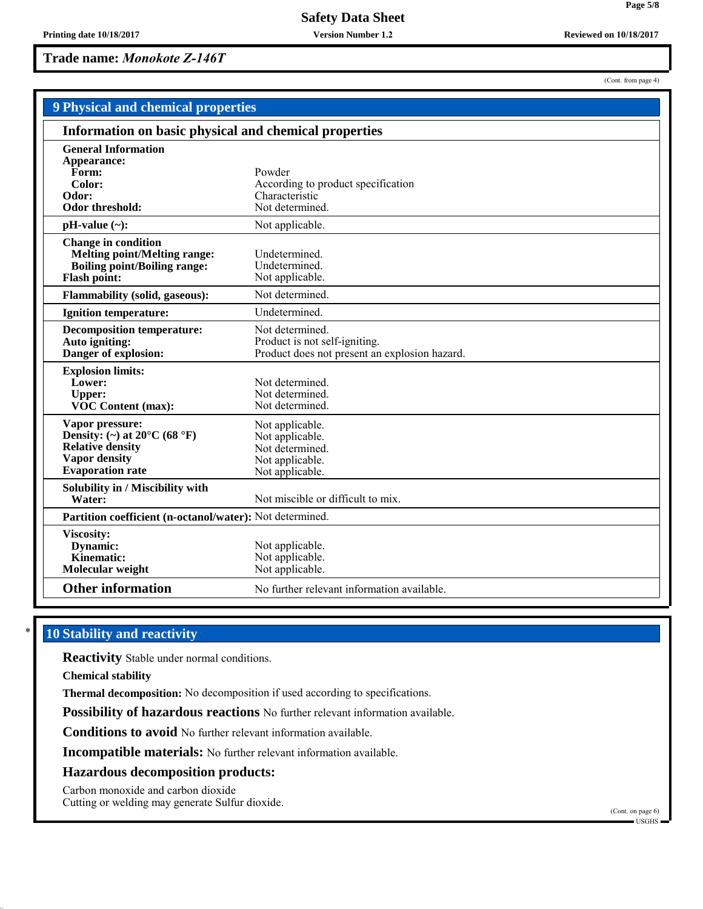**Version Number 1.2**

**Trade name:** *Monokote Z-146T*

| 9 Physical and chemical properties                                                                                                         |                                                                                                   |  |
|--------------------------------------------------------------------------------------------------------------------------------------------|---------------------------------------------------------------------------------------------------|--|
| Information on basic physical and chemical properties                                                                                      |                                                                                                   |  |
| <b>General Information</b><br>Appearance:<br>Form:<br>Color:<br>Odor:<br>Odor threshold:                                                   | Powder<br>According to product specification<br>Characteristic<br>Not determined.                 |  |
| $pH-value (\sim):$                                                                                                                         | Not applicable.                                                                                   |  |
| <b>Change in condition</b><br><b>Melting point/Melting range:</b><br><b>Boiling point/Boiling range:</b><br>Flash point:                   | Undetermined.<br>Undetermined.<br>Not applicable.                                                 |  |
| <b>Flammability (solid, gaseous):</b>                                                                                                      | Not determined.                                                                                   |  |
| <b>Ignition temperature:</b>                                                                                                               | Undetermined.                                                                                     |  |
| <b>Decomposition temperature:</b><br>Auto igniting:<br>Danger of explosion:                                                                | Not determined.<br>Product is not self-igniting.<br>Product does not present an explosion hazard. |  |
| <b>Explosion limits:</b><br>Lower:<br><b>Upper:</b><br><b>VOC Content (max):</b>                                                           | Not determined.<br>Not determined.<br>Not determined.                                             |  |
| Vapor pressure:<br>Density: (~) at $20^{\circ}$ C (68 $^{\circ}$ F)<br><b>Relative density</b><br>Vapor density<br><b>Evaporation</b> rate | Not applicable.<br>Not applicable.<br>Not determined.<br>Not applicable.<br>Not applicable.       |  |
| Solubility in / Miscibility with<br>Water:                                                                                                 | Not miscible or difficult to mix.                                                                 |  |
| Partition coefficient (n-octanol/water): Not determined.                                                                                   |                                                                                                   |  |
| Viscosity:<br>Dynamic:<br>Kinematic:<br>Molecular weight                                                                                   | Not applicable.<br>Not applicable.<br>Not applicable.                                             |  |
| <b>Other information</b>                                                                                                                   | No further relevant information available.                                                        |  |

# **10 Stability and reactivity**

**Reactivity** Stable under normal conditions.

**Chemical stability**

**Thermal decomposition:** No decomposition if used according to specifications.

**Possibility of hazardous reactions** No further relevant information available.

**Conditions to avoid** No further relevant information available.

**Incompatible materials:** No further relevant information available.

### **Hazardous decomposition products:**

Carbon monoxide and carbon dioxide

Cutting or welding may generate Sulfur dioxide.

(Cont. from page 4)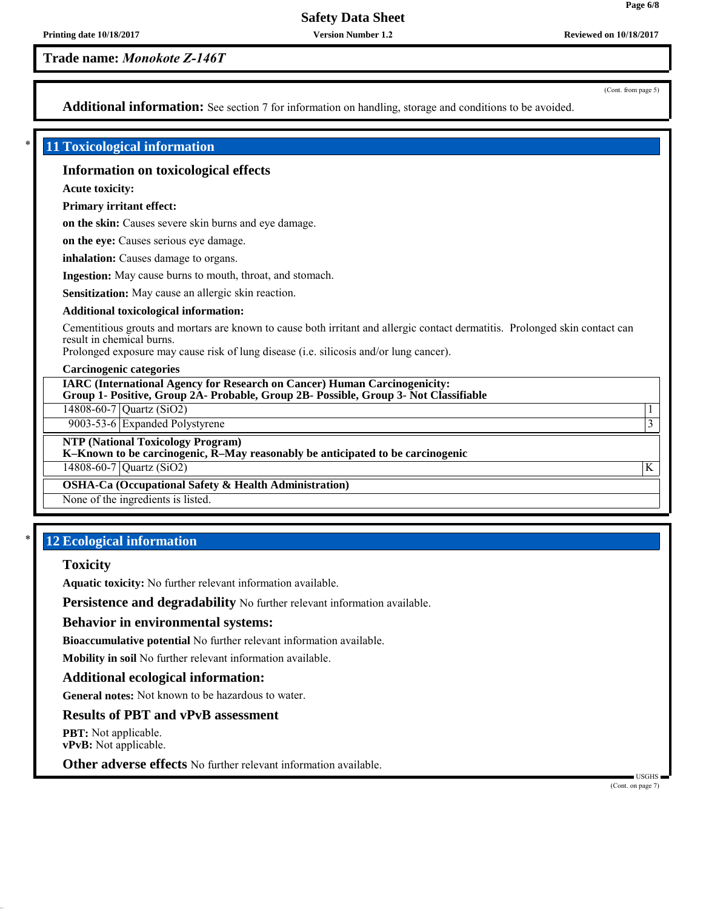**Version Number 1.2**

**Trade name:** *Monokote Z-146T*

(Cont. from page 5)

**Page 6/8**

Additional information: See section 7 for information on handling, storage and conditions to be avoided.

## \* **11 Toxicological information**

## **Information on toxicological effects**

**Acute toxicity:**

**Primary irritant effect:**

**on the skin:** Causes severe skin burns and eye damage.

**on the eye:** Causes serious eye damage.

**inhalation:** Causes damage to organs.

**Ingestion:** May cause burns to mouth, throat, and stomach.

**Sensitization:** May cause an allergic skin reaction.

#### **Additional toxicological information:**

Cementitious grouts and mortars are known to cause both irritant and allergic contact dermatitis. Prolonged skin contact can result in chemical burns.

Prolonged exposure may cause risk of lung disease (i.e. silicosis and/or lung cancer).

#### **Carcinogenic categories**

**IARC (International Agency for Research on Cancer) Human Carcinogenicity: Group 1- Positive, Group 2A- Probable, Group 2B- Possible, Group 3- Not Classifiable**

14808-60-7 Quartz (SiO2) 1

9003-53-6 Expanded Polystyrene 3

**NTP (National Toxicology Program)**

**K–Known to be carcinogenic, R–May reasonably be anticipated to be carcinogenic**

14808-60-7 Quartz (SiO2) K

**OSHA-Ca (Occupational Safety & Health Administration)**

None of the ingredients is listed.

## **12 Ecological information**

## **Toxicity**

**Aquatic toxicity:** No further relevant information available.

**Persistence and degradability** No further relevant information available.

#### **Behavior in environmental systems:**

**Bioaccumulative potential** No further relevant information available.

**Mobility in soil** No further relevant information available.

#### **Additional ecological information:**

**General notes:** Not known to be hazardous to water.

## **Results of PBT and vPvB assessment**

**PBT:** Not applicable. **vPvB:** Not applicable.

**Other adverse effects** No further relevant information available.

 USGHS (Cont. on page 7)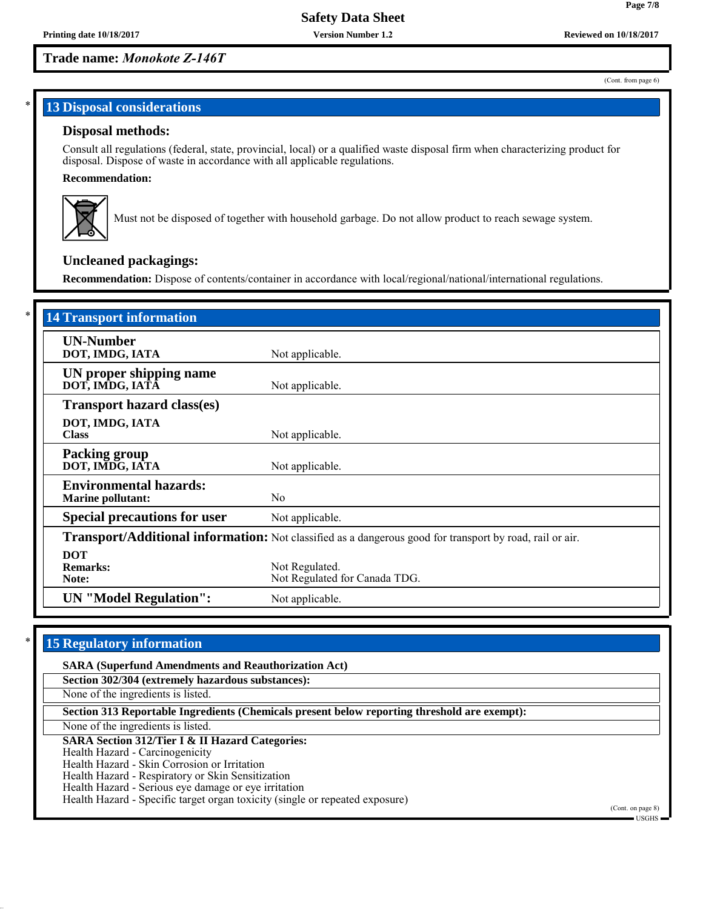**Version Number 1.2**

# **Trade name:** *Monokote Z-146T*

(Cont. from page 6)

**Page 7/8**

# **13 Disposal considerations**

## **Disposal methods:**

Consult all regulations (federal, state, provincial, local) or a qualified waste disposal firm when characterizing product for disposal. Dispose of waste in accordance with all applicable regulations.

## **Recommendation:**



Must not be disposed of together with household garbage. Do not allow product to reach sewage system.

# **Uncleaned packagings:**

**Recommendation:** Dispose of contents/container in accordance with local/regional/national/international regulations.

| <b>14 Transport information</b>                                                                          |                                                 |  |
|----------------------------------------------------------------------------------------------------------|-------------------------------------------------|--|
| <b>UN-Number</b><br>DOT, IMDG, IATA                                                                      | Not applicable.                                 |  |
| UN proper shipping name<br>DOT, IMDG, IATĀ                                                               | Not applicable.                                 |  |
| <b>Transport hazard class(es)</b>                                                                        |                                                 |  |
| DOT, IMDG, IATA<br><b>Class</b>                                                                          | Not applicable.                                 |  |
| <b>Packing group</b><br>DOT, IMDG, IATA                                                                  | Not applicable.                                 |  |
| <b>Environmental hazards:</b><br><b>Marine pollutant:</b>                                                | N <sub>0</sub>                                  |  |
| <b>Special precautions for user</b>                                                                      | Not applicable.                                 |  |
| Transport/Additional information: Not classified as a dangerous good for transport by road, rail or air. |                                                 |  |
| <b>DOT</b><br><b>Remarks:</b><br>Note:                                                                   | Not Regulated.<br>Not Regulated for Canada TDG. |  |
| <b>UN</b> "Model Regulation":                                                                            | Not applicable.                                 |  |

# **15 Regulatory information**

| <b>SARA (Superfund Amendments and Reauthorization Act)</b>                                   |                                |  |
|----------------------------------------------------------------------------------------------|--------------------------------|--|
| Section 302/304 (extremely hazardous substances):                                            |                                |  |
| None of the ingredients is listed.                                                           |                                |  |
| Section 313 Reportable Ingredients (Chemicals present below reporting threshold are exempt): |                                |  |
| None of the ingredients is listed.                                                           |                                |  |
| <b>SARA Section 312/Tier I &amp; II Hazard Categories:</b>                                   |                                |  |
| Health Hazard - Carcinogenicity                                                              |                                |  |
| Health Hazard - Skin Corrosion or Irritation                                                 |                                |  |
| Health Hazard - Respiratory or Skin Sensitization                                            |                                |  |
| Health Hazard - Serious eye damage or eye irritation                                         |                                |  |
| Health Hazard - Specific target organ toxicity (single or repeated exposure)                 |                                |  |
|                                                                                              | (Cont. on page 8)<br>■ USGHS ■ |  |